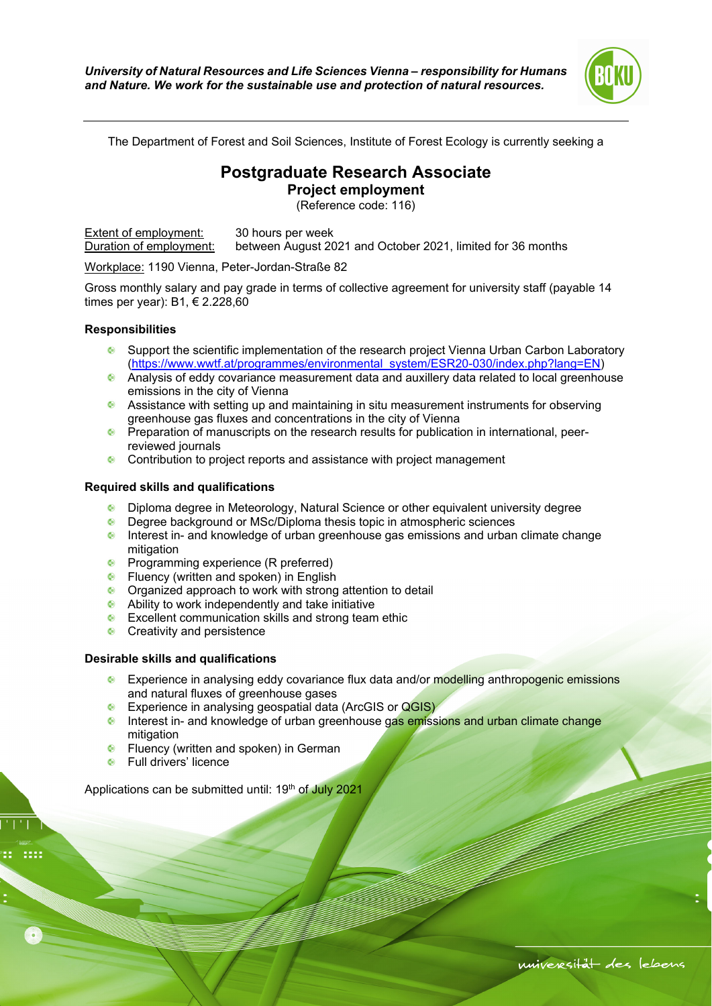

The Department of Forest and Soil Sciences, Institute of Forest Ecology is currently seeking a

## **Postgraduate Research Associate**

**Project employment** 

(Reference code: 116)

Extent of employment: 30 hours per week Duration of employment: between August 2021 and October 2021, limited for 36 months

Workplace: 1190 Vienna, Peter-Jordan-Straße 82

Gross monthly salary and pay grade in terms of collective agreement for university staff (payable 14 times per year): B1, € 2.228,60

## **Responsibilities**

- Support the scientific implementation of the research project Vienna Urban Carbon Laboratory (https://www.wwtf.at/programmes/environmental\_system/ESR20-030/index.php?lang=EN)
- Analysis of eddy covariance measurement data and auxillery data related to local greenhouse emissions in the city of Vienna
- Assistance with setting up and maintaining in situ measurement instruments for observing greenhouse gas fluxes and concentrations in the city of Vienna
- **Preparation of manuscripts on the research results for publication in international, peer**reviewed journals
- **Contribution to project reports and assistance with project management**

## **Required skills and qualifications**

- Diploma degree in Meteorology, Natural Science or other equivalent university degree
- **C** Degree background or MSc/Diploma thesis topic in atmospheric sciences
- $\bullet$  Interest in- and knowledge of urban greenhouse gas emissions and urban climate change mitigation
- **•** Programming experience (R preferred)
- **•** Fluency (written and spoken) in English
- Organized approach to work with strong attention to detail
- Ability to work independently and take initiative
- **Excellent communication skills and strong team ethic**
- **Creativity and persistence**

## **Desirable skills and qualifications**

- **Experience in analysing eddy covariance flux data and/or modelling anthropogenic emissions** and natural fluxes of greenhouse gases
- **Experience in analysing geospatial data (ArcGIS or QGIS)**
- **Interest in- and knowledge of urban greenhouse gas emissions and urban climate change** mitigation
- **•** Fluency (written and spoken) in German
- **•** Full drivers' licence

Applications can be submitted until: 19<sup>th</sup> of July 2021